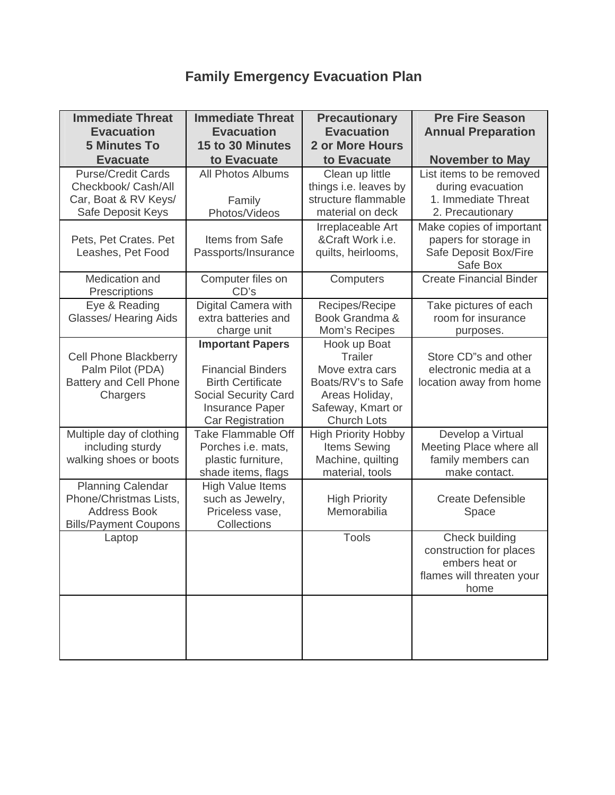# **Family Emergency Evacuation Plan**

| <b>Immediate Threat</b><br><b>Evacuation</b><br><b>5 Minutes To</b>                                       | <b>Immediate Threat</b><br><b>Evacuation</b><br>15 to 30 Minutes                                                                                                    | <b>Precautionary</b><br><b>Evacuation</b><br><b>2 or More Hours</b>                                                                  | <b>Pre Fire Season</b><br><b>Annual Preparation</b>                                              |
|-----------------------------------------------------------------------------------------------------------|---------------------------------------------------------------------------------------------------------------------------------------------------------------------|--------------------------------------------------------------------------------------------------------------------------------------|--------------------------------------------------------------------------------------------------|
| <b>Evacuate</b>                                                                                           | to Evacuate                                                                                                                                                         | to Evacuate                                                                                                                          | <b>November to May</b>                                                                           |
| <b>Purse/Credit Cards</b><br>Checkbook/ Cash/All<br>Car, Boat & RV Keys/<br>Safe Deposit Keys             | <b>All Photos Albums</b><br>Family<br>Photos/Videos                                                                                                                 | Clean up little<br>things i.e. leaves by<br>structure flammable<br>material on deck                                                  | List items to be removed<br>during evacuation<br>1. Immediate Threat<br>2. Precautionary         |
| Pets, Pet Crates. Pet<br>Leashes, Pet Food                                                                | Items from Safe<br>Passports/Insurance                                                                                                                              | Irreplaceable Art<br>&Craft Work <i>i.e.</i><br>quilts, heirlooms,                                                                   | Make copies of important<br>papers for storage in<br>Safe Deposit Box/Fire<br>Safe Box           |
| Medication and<br>Prescriptions                                                                           | Computer files on<br>CD's                                                                                                                                           | Computers                                                                                                                            | <b>Create Financial Binder</b>                                                                   |
| Eye & Reading<br><b>Glasses/ Hearing Aids</b>                                                             | Digital Camera with<br>extra batteries and<br>charge unit                                                                                                           | Recipes/Recipe<br>Book Grandma &<br>Mom's Recipes                                                                                    | Take pictures of each<br>room for insurance<br>purposes.                                         |
| <b>Cell Phone Blackberry</b><br>Palm Pilot (PDA)<br><b>Battery and Cell Phone</b><br>Chargers             | <b>Important Papers</b><br><b>Financial Binders</b><br><b>Birth Certificate</b><br><b>Social Security Card</b><br><b>Insurance Paper</b><br><b>Car Registration</b> | Hook up Boat<br><b>Trailer</b><br>Move extra cars<br>Boats/RV's to Safe<br>Areas Holiday,<br>Safeway, Kmart or<br><b>Church Lots</b> | Store CD"s and other<br>electronic media at a<br>location away from home                         |
| Multiple day of clothing<br>including sturdy<br>walking shoes or boots                                    | <b>Take Flammable Off</b><br>Porches i.e. mats,<br>plastic furniture,<br>shade items, flags                                                                         | <b>High Priority Hobby</b><br>Items Sewing<br>Machine, quilting<br>material, tools                                                   | Develop a Virtual<br>Meeting Place where all<br>family members can<br>make contact.              |
| <b>Planning Calendar</b><br>Phone/Christmas Lists,<br><b>Address Book</b><br><b>Bills/Payment Coupons</b> | <b>High Value Items</b><br>such as Jewelry,<br>Priceless vase,<br>Collections                                                                                       | <b>High Priority</b><br>Memorabilia                                                                                                  | <b>Create Defensible</b><br>Space                                                                |
| Laptop                                                                                                    |                                                                                                                                                                     | <b>Tools</b>                                                                                                                         | Check building<br>construction for places<br>embers heat or<br>flames will threaten your<br>home |
|                                                                                                           |                                                                                                                                                                     |                                                                                                                                      |                                                                                                  |